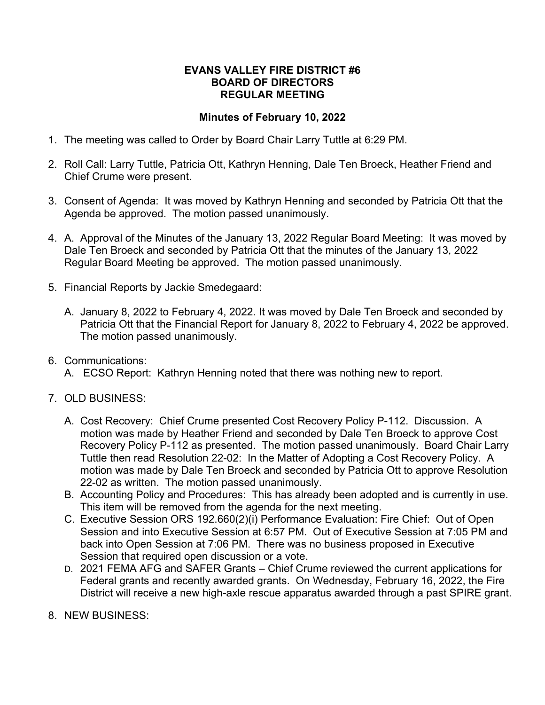## **EVANS VALLEY FIRE DISTRICT #6 BOARD OF DIRECTORS REGULAR MEETING**

## **Minutes of February 10, 2022**

- 1. The meeting was called to Order by Board Chair Larry Tuttle at 6:29 PM.
- 2. Roll Call: Larry Tuttle, Patricia Ott, Kathryn Henning, Dale Ten Broeck, Heather Friend and Chief Crume were present.
- 3. Consent of Agenda: It was moved by Kathryn Henning and seconded by Patricia Ott that the Agenda be approved. The motion passed unanimously.
- 4. A. Approval of the Minutes of the January 13, 2022 Regular Board Meeting: It was moved by Dale Ten Broeck and seconded by Patricia Ott that the minutes of the January 13, 2022 Regular Board Meeting be approved. The motion passed unanimously.
- 5. Financial Reports by Jackie Smedegaard:
	- A. January 8, 2022 to February 4, 2022. It was moved by Dale Ten Broeck and seconded by Patricia Ott that the Financial Report for January 8, 2022 to February 4, 2022 be approved. The motion passed unanimously.
- 6. Communications:
	- A. ECSO Report: Kathryn Henning noted that there was nothing new to report.
- 7. OLD BUSINESS:
	- A. Cost Recovery: Chief Crume presented Cost Recovery Policy P-112. Discussion. A motion was made by Heather Friend and seconded by Dale Ten Broeck to approve Cost Recovery Policy P-112 as presented. The motion passed unanimously. Board Chair Larry Tuttle then read Resolution 22-02: In the Matter of Adopting a Cost Recovery Policy. A motion was made by Dale Ten Broeck and seconded by Patricia Ott to approve Resolution 22-02 as written. The motion passed unanimously.
	- B. Accounting Policy and Procedures: This has already been adopted and is currently in use. This item will be removed from the agenda for the next meeting.
	- C. Executive Session ORS 192.660(2)(i) Performance Evaluation: Fire Chief: Out of Open Session and into Executive Session at 6:57 PM. Out of Executive Session at 7:05 PM and back into Open Session at 7:06 PM. There was no business proposed in Executive Session that required open discussion or a vote.
	- D. 2021 FEMA AFG and SAFER Grants Chief Crume reviewed the current applications for Federal grants and recently awarded grants. On Wednesday, February 16, 2022, the Fire District will receive a new high-axle rescue apparatus awarded through a past SPIRE grant.
- 8. NEW BUSINESS: